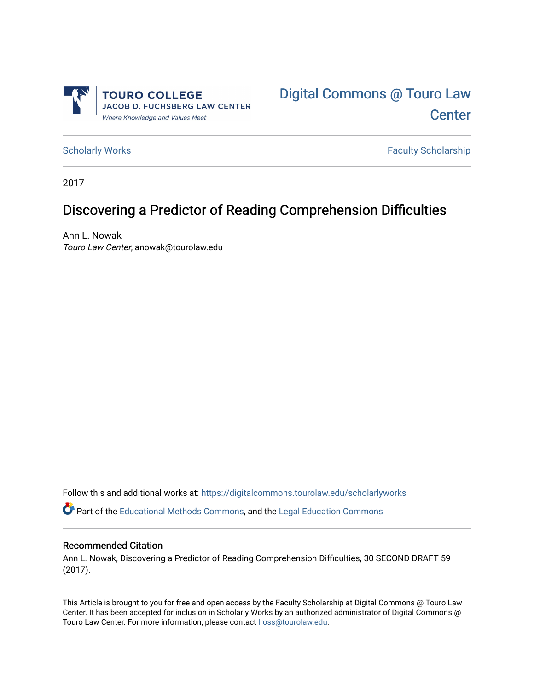



[Scholarly Works](https://digitalcommons.tourolaw.edu/scholarlyworks) **Faculty Scholarship** Scholarship

2017

## Discovering a Predictor of Reading Comprehension Difficulties

Ann L. Nowak Touro Law Center, anowak@tourolaw.edu

Follow this and additional works at: [https://digitalcommons.tourolaw.edu/scholarlyworks](https://digitalcommons.tourolaw.edu/scholarlyworks?utm_source=digitalcommons.tourolaw.edu%2Fscholarlyworks%2F811&utm_medium=PDF&utm_campaign=PDFCoverPages)

Part of the [Educational Methods Commons,](https://network.bepress.com/hgg/discipline/1227?utm_source=digitalcommons.tourolaw.edu%2Fscholarlyworks%2F811&utm_medium=PDF&utm_campaign=PDFCoverPages) and the [Legal Education Commons](https://network.bepress.com/hgg/discipline/857?utm_source=digitalcommons.tourolaw.edu%2Fscholarlyworks%2F811&utm_medium=PDF&utm_campaign=PDFCoverPages)

## Recommended Citation

Ann L. Nowak, Discovering a Predictor of Reading Comprehension Difficulties, 30 SECOND DRAFT 59 (2017).

This Article is brought to you for free and open access by the Faculty Scholarship at Digital Commons @ Touro Law Center. It has been accepted for inclusion in Scholarly Works by an authorized administrator of Digital Commons @ Touro Law Center. For more information, please contact [lross@tourolaw.edu](mailto:lross@tourolaw.edu).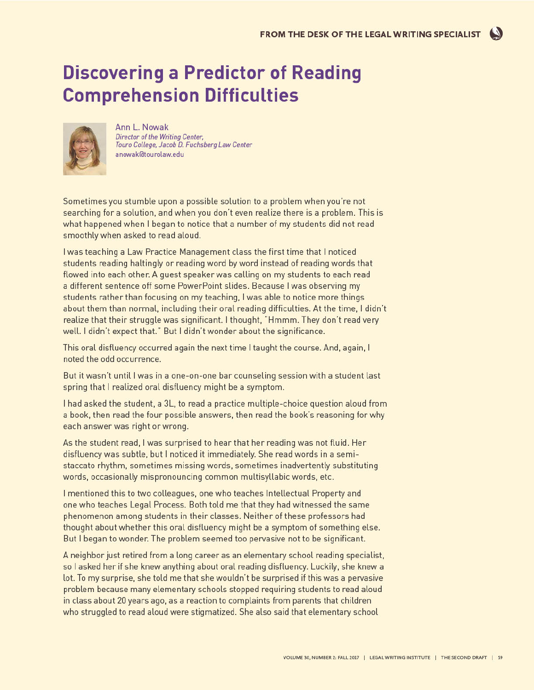## **Discovering a Predictor of Reading Comprehension Difficulties**



Ann L. Nowak Director of the Writing Center, Touro College, Jacob D. Fuchsberg Law Center anowak@tourolaw.edu

Sometimes you stumble upon a possible solution to a problem when you're not searching for a solution, and when you don't even realize there is a problem. This is what happened when I began to notice that a number of my students did not read smoothly when asked to read aloud.

I was teaching a Law Practice Management class the first time that I noticed students reading haltingly or reading word by word instead of reading words that flowed into each other. A quest speaker was calling on my students to each read a different sentence off some PowerPoint slides. Because I was observing my students rather than focusing on my teaching, I was able to notice more things about them than normal, including their oral reading difficulties. At the time, I didn't realize that their struggle was significant. I thought, "Hmmm. They don't read very well. I didn't expect that." But I didn't wonder about the significance.

This oral disfluency occurred again the next time I taught the course. And, again, I noted the odd occurrence.

But it wasn't until I was in a one-on-one bar counseling session with a student last spring that I realized oral disfluency might be a symptom.

I had asked the student, a 3L, to read a practice multiple-choice question aloud from a book, then read the four possible answers, then read the book's reasoning for why each answer was right or wrong.

As the student read, I was surprised to hear that her reading was not fluid. Her disfluency was subtle, but I noticed it immediately. She read words in a semistaccato rhythm, sometimes missing words, sometimes inadvertently substituting words, occasionally mispronouncing common multisyllabic words, etc.

I mentioned this to two colleagues, one who teaches Intellectual Property and one who teaches Legal Process. Both told me that they had witnessed the same phenomenon among students in their classes. Neither of these professors had thought about whether this oral disfluency might be a symptom of something else. But I began to wonder. The problem seemed too pervasive not to be significant.

A neighbor just retired from a long career as an elementary school reading specialist, so I asked her if she knew anything about oral reading disfluency. Luckily, she knew a lot. To my surprise, she told me that she wouldn't be surprised if this was a pervasive problem because many elementary schools stopped requiring students to read aloud in class about 20 years ago, as a reaction to complaints from parents that children who struggled to read aloud were stigmatized. She also said that elementary school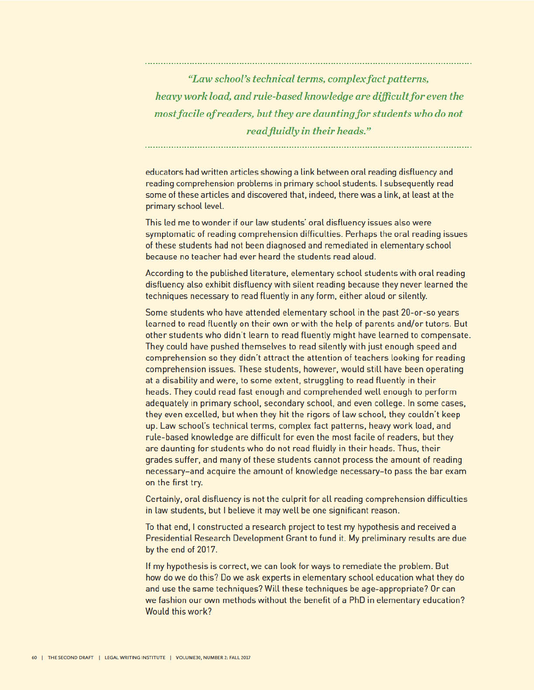"Law school's technical terms, complex fact patterns, heavy work load, and rule-based knowledge are difficult for even the most facile of readers, but they are daunting for students who do not read fluidly in their heads."

educators had written articles showing a link between oral reading disfluency and reading comprehension problems in primary school students. I subsequently read some of these articles and discovered that, indeed, there was a link, at least at the primary school level.

This led me to wonder if our law students' oral disfluency issues also were symptomatic of reading comprehension difficulties. Perhaps the oral reading issues of these students had not been diagnosed and remediated in elementary school because no teacher had ever heard the students read aloud.

According to the published literature, elementary school students with oral reading disfluency also exhibit disfluency with silent reading because they never learned the techniques necessary to read fluently in any form, either aloud or silently.

Some students who have attended elementary school in the past 20-or-so years learned to read fluently on their own or with the help of parents and/or tutors. But other students who didn't learn to read fluently might have learned to compensate. They could have pushed themselves to read silently with just enough speed and comprehension so they didn't attract the attention of teachers looking for reading comprehension issues. These students, however, would still have been operating at a disability and were, to some extent, struggling to read fluently in their heads. They could read fast enough and comprehended well enough to perform adequately in primary school, secondary school, and even college. In some cases, they even excelled, but when they hit the rigors of law school, they couldn't keep up. Law school's technical terms, complex fact patterns, heavy work load, and rule-based knowledge are difficult for even the most facile of readers, but they are daunting for students who do not read fluidly in their heads. Thus, their grades suffer, and many of these students cannot process the amount of reading necessary-and acquire the amount of knowledge necessary-to pass the bar exam on the first try.

Certainly, oral disfluency is not the culprit for all reading comprehension difficulties in law students, but I believe it may well be one significant reason.

To that end, I constructed a research project to test my hypothesis and received a Presidential Research Development Grant to fund it. My preliminary results are due by the end of 2017.

If my hypothesis is correct, we can look for ways to remediate the problem. But how do we do this? Do we ask experts in elementary school education what they do and use the same techniques? Will these techniques be age-appropriate? Or can we fashion our own methods without the benefit of a PhD in elementary education? Would this work?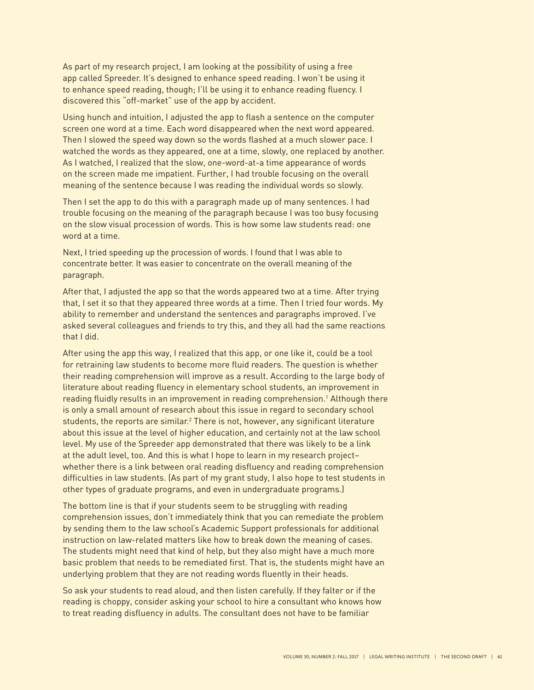As part of my research project, I am looking at the possibility of using a free app called Spreeder. It's designed to enhance speed reading. I won't be using it to enhance speed reading, though; I'll be using it to enhance reading fluency. I discovered this "off-market" use of the app by accident.

Using hunch and intuition, I adjusted the app to flash a sentence on the computer screen one word at a time. Each word disappeared when the next word appeared. Then I slowed the speed way down so the words flashed at a much slower pace. I watched the words as they appeared, one at a time, slowly, one replaced by another. As I watched, I realized that the slow, one-word-at-a time appearance of words on the screen made me impatient. Further, I had trouble focusing on the overall meaning of the sentence because I was reading the individual words so slowly.

Then I set the app to do this with a paragraph made up of many sentences. I had trouble focusing on the meaning of the paragraph because I was too busy focusing on the slow visual procession of words. This is how some law students read: one word at a time.

Next, I tried speeding up the procession of words. I found that I was able to concentrate better. It was easier to concentrate on the overall meaning of the paragraph.

After that, I adjusted the app so that the words appeared two at a time. After trying that, I set it so that they appeared three words at a time. Then I tried four words. My ability to remember and understand the sentences and paragraphs improved. I've asked several colleagues and friends to try this, and they all had the same reactions that I did.

After using the app this way, I realized that this app, or one like it, could be a tool for retraining law students to become more fluid readers. The question is whether their reading comprehension will improve as a result. According to the large body of literature about reading fluency in elementary school students, an improvement in reading fluidly results in an improvement in reading comprehension.<sup>1</sup> Although there is only a small amount of research about this issue in regard to secondary school students, the reports are similar.<sup>2</sup> There is not, however, any significant literature about this issue at the level of higher education, and certainly not at the law school level. My use of the Spreeder app demonstrated that there was likely to be a link at the adult level, too. And this is what I hope to learn in my research project– whether there is a link between oral reading disfluency and reading comprehension dificulties in law students. (As part of my grant study, I also hope to test students in other types of graduate programs, and even in undergraduate programs.)

The bottom line is that if your students seem to be struggling with reading comprehension issues, don't immediately think that you can remediate the problem by sending them to the law school's Academic Support professionals for additional instruction on law-related matters like how to break down the meaning of cases. The students might need that kind of help, but they also might have a much more basic problem that needs to be remediated first. That is, the students might have an underlying problem that they are not reading words fluently in their heads.

So ask your students to read aloud, and then listen carefully. If they falter or if the reading is choppy, consider asking your school to hire a consultant who knows how to treat reading disfluency in adults. The consultant does not have to be familiar